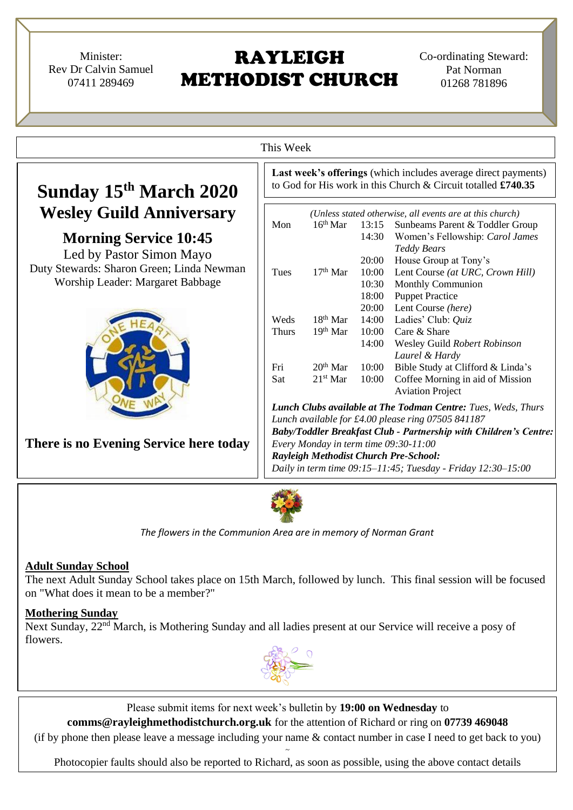Minister: Rev Dr Calvin Samuel 07411 289469

# RAYLEIGH METHODIST CHURCH

Co-ordinating Steward: Pat Norman 01268 781896

|                                           | Last week's offerings (which includes average direct payments)       |                                                              |                |                                                               |  |  |
|-------------------------------------------|----------------------------------------------------------------------|--------------------------------------------------------------|----------------|---------------------------------------------------------------|--|--|
| Sunday 15th March 2020                    |                                                                      |                                                              |                | to God for His work in this Church & Circuit totalled £740.35 |  |  |
| <b>Wesley Guild Anniversary</b>           | (Unless stated otherwise, all events are at this church)             |                                                              |                |                                                               |  |  |
|                                           | Mon                                                                  | $16th$ Mar                                                   | 13:15          | Sunbeams Parent & Toddler Group                               |  |  |
| <b>Morning Service 10:45</b>              |                                                                      |                                                              | 14:30          | Women's Fellowship: Carol James                               |  |  |
| Led by Pastor Simon Mayo                  |                                                                      |                                                              |                | <b>Teddy Bears</b>                                            |  |  |
| Duty Stewards: Sharon Green; Linda Newman |                                                                      |                                                              | 20:00          | House Group at Tony's                                         |  |  |
| Worship Leader: Margaret Babbage          | Tues                                                                 | $17th$ Mar                                                   | 10:00          | Lent Course (at URC, Crown Hill)                              |  |  |
|                                           |                                                                      |                                                              | 10:30<br>18:00 | <b>Monthly Communion</b><br><b>Puppet Practice</b>            |  |  |
|                                           |                                                                      |                                                              | 20:00          | Lent Course (here)                                            |  |  |
|                                           | Weds                                                                 | $18th$ Mar                                                   | 14:00          | Ladies' Club: Quiz                                            |  |  |
|                                           | <b>Thurs</b>                                                         | $19th$ Mar                                                   | 10:00          | Care & Share                                                  |  |  |
|                                           |                                                                      |                                                              | 14:00          | Wesley Guild Robert Robinson                                  |  |  |
|                                           |                                                                      |                                                              |                | Laurel & Hardy                                                |  |  |
|                                           | Fri                                                                  | $20th$ Mar                                                   | 10:00          | Bible Study at Clifford & Linda's                             |  |  |
|                                           | Sat                                                                  | $21st$ Mar                                                   | 10:00          | Coffee Morning in aid of Mission                              |  |  |
|                                           |                                                                      |                                                              |                | <b>Aviation Project</b>                                       |  |  |
|                                           | <b>Lunch Clubs available at The Todman Centre: Tues, Weds, Thurs</b> |                                                              |                |                                                               |  |  |
|                                           | Lunch available for £4.00 please ring 07505 841187                   |                                                              |                |                                                               |  |  |
|                                           | Baby/Toddler Breakfast Club - Partnership with Children's Centre:    |                                                              |                |                                                               |  |  |
| There is no Evening Service here today    | Every Monday in term time 09:30-11:00                                |                                                              |                |                                                               |  |  |
|                                           | Rayleigh Methodist Church Pre-School:                                |                                                              |                |                                                               |  |  |
|                                           |                                                                      | Daily in term time 09:15-11:45; Tuesday - Friday 12:30-15:00 |                |                                                               |  |  |

# **Adult Sunday School**

The next Adult Sunday School takes place on 15th March, followed by lunch. This final session will be focused on "What does it mean to be a member?"

#### **Mothering Sunday**

Next Sunday, 22<sup>nd</sup> March, is Mothering Sunday and all ladies present at our Service will receive a posy of flowers.



Please submit items for next week's bulletin by **19:00 on Wednesday** to

**comms@rayleighmethodistchurch.org.uk** for the attention of Richard or ring on **07739 469048**

(if by phone then please leave a message including your name & contact number in case I need to get back to you) ~

Photocopier faults should also be reported to Richard, as soon as possible, using the above contact details